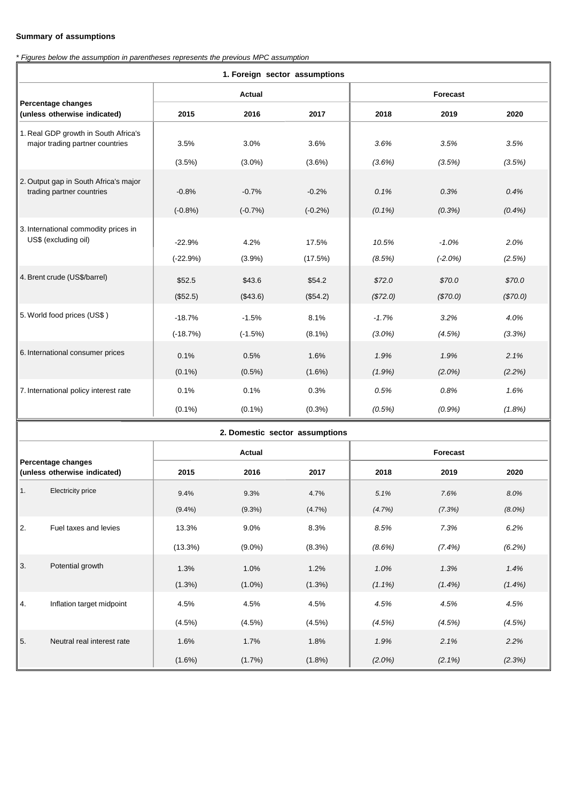## **Summary of assumptions**

*\* Figures below the assumption in parentheses represents the previous MPC assumption*

| 1. Foreign sector assumptions                      |               |           |           |           |            |          |  |  |  |  |
|----------------------------------------------------|---------------|-----------|-----------|-----------|------------|----------|--|--|--|--|
|                                                    | <b>Actual</b> |           |           | Forecast  |            |          |  |  |  |  |
| Percentage changes<br>(unless otherwise indicated) | 2015          | 2016      | 2017      | 2018      | 2019       | 2020     |  |  |  |  |
| 1. Real GDP growth in South Africa's               | 3.5%          | 3.0%      | 3.6%      | 3.6%      | 3.5%       | 3.5%     |  |  |  |  |
| major trading partner countries                    | (3.5%)        | $(3.0\%)$ | (3.6%)    | (3.6%)    | (3.5%)     | (3.5%)   |  |  |  |  |
| 2. Output gap in South Africa's major              | $-0.8%$       | $-0.7%$   | $-0.2%$   | 0.1%      | 0.3%       | 0.4%     |  |  |  |  |
| trading partner countries                          | $(-0.8%)$     | $(-0.7%)$ | $(-0.2%)$ | $(0.1\%)$ | (0.3%)     | (0.4%    |  |  |  |  |
| 3. International commodity prices in               | $-22.9%$      | 4.2%      | 17.5%     | 10.5%     | $-1.0%$    | 2.0%     |  |  |  |  |
| US\$ (excluding oil)                               | $(-22.9%)$    | (3.9%)    | (17.5%)   | (8.5%)    | $(-2.0\%)$ | (2.5%)   |  |  |  |  |
| 4. Brent crude (US\$/barrel)                       | \$52.5        | \$43.6    | \$54.2    | \$72.0    | \$70.0     | \$70.0   |  |  |  |  |
|                                                    | (\$52.5)      | (\$43.6)  | (\$54.2)  | (\$72.0)  | (\$70.0)   | (\$70.0) |  |  |  |  |
| 5. World food prices (US\$)                        | $-18.7%$      | $-1.5%$   | 8.1%      | $-1.7%$   | 3.2%       | 4.0%     |  |  |  |  |
|                                                    | $(-18.7%)$    | $(-1.5%)$ | $(8.1\%)$ | $(3.0\%)$ | (4.5%)     | (3.3%)   |  |  |  |  |
| 6. International consumer prices                   | 0.1%          | 0.5%      | 1.6%      | 1.9%      | 1.9%       | 2.1%     |  |  |  |  |
|                                                    | $(0.1\%)$     | $(0.5\%)$ | $(1.6\%)$ | $(1.9\%)$ | $(2.0\%)$  | (2.2%)   |  |  |  |  |
| 7. International policy interest rate              | 0.1%          | 0.1%      | 0.3%      | 0.5%      | 0.8%       | 1.6%     |  |  |  |  |
|                                                    | $(0.1\%)$     | $(0.1\%)$ | (0.3%)    | (0.5%)    | (0.9%      | (1.8%)   |  |  |  |  |
| 2. Domestic sector assumptions                     |               |           |           |           |            |          |  |  |  |  |
| Percentage changes                                 | <b>Actual</b> |           |           | Forecast  |            |          |  |  |  |  |

| Percentage changes<br>(unless otherwise indicated) |                            |            |           |           |           |           |           |
|----------------------------------------------------|----------------------------|------------|-----------|-----------|-----------|-----------|-----------|
|                                                    |                            | 2015       | 2016      | 2017      | 2018      | 2019      | 2020      |
| 1.                                                 | <b>Electricity price</b>   | 9.4%       | 9.3%      | 4.7%      | 5.1%      | 7.6%      | 8.0%      |
|                                                    |                            | $(9.4\%)$  | $(9.3\%)$ | $(4.7\%)$ | (4.7%)    | (7.3%)    | $(8.0\%)$ |
| 2.                                                 | Fuel taxes and levies      | 13.3%      | 9.0%      | 8.3%      | 8.5%      | 7.3%      | 6.2%      |
|                                                    |                            | $(13.3\%)$ | $(9.0\%)$ | (8.3%)    | $(8.6\%)$ | $(7.4\%)$ | (6.2%)    |
| 3.                                                 | Potential growth           | 1.3%       | 1.0%      | 1.2%      | 1.0%      | 1.3%      | 1.4%      |
|                                                    |                            | $(1.3\%)$  | $(1.0\%)$ | $(1.3\%)$ | $(1.1\%)$ | $(1.4\%)$ | $(1.4\%)$ |
| 4.                                                 | Inflation target midpoint  | 4.5%       | 4.5%      | 4.5%      | 4.5%      | 4.5%      | 4.5%      |
|                                                    |                            | $(4.5\%)$  | $(4.5\%)$ | $(4.5\%)$ | (4.5%)    | (4.5%)    | (4.5%)    |
| 5.                                                 | Neutral real interest rate | 1.6%       | 1.7%      | 1.8%      | 1.9%      | 2.1%      | 2.2%      |
|                                                    |                            | $(1.6\%)$  | $(1.7\%)$ | $(1.8\%)$ | $(2.0\%)$ | $(2.1\%)$ | (2.3%)    |